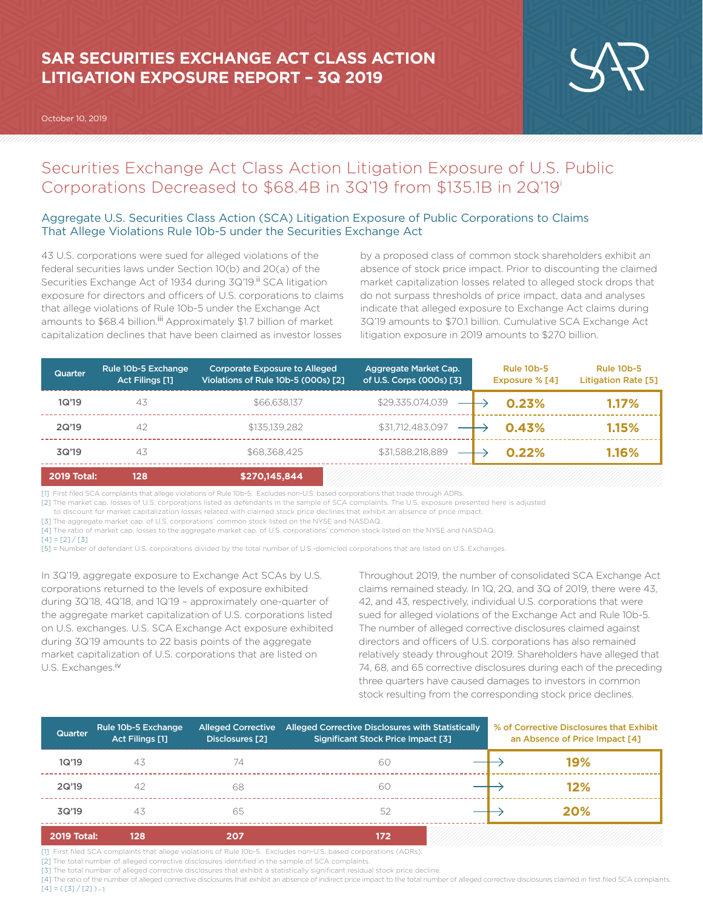# **SAR SECURITIES EXCHANGE ACT CLASS ACTION LITIGATION EXPOSURE REPORT – 3Q 2019**

October 10, 2019



## Securities Exchange Act Class Action Litigation Exposure of U.S. Public Corporations Decreased to \$68.4B in 3Q'19 from \$135.1B in 2Q'19i

## Aggregate U.S. Securities Class Action (SCA) Litigation Exposure of Public Corporations to Claims That Allege Violations Rule 10b-5 under the Securities Exchange Act

43 U.S. corporations were sued for alleged violations of the federal securities laws under Section 10(b) and 20(a) of the Securities Exchange Act of 1934 during 3Q'19.<sup>ii</sup> SCA litigation exposure for directors and officers of U.S. corporations to claims that allege violations of Rule 10b-5 under the Exchange Act amounts to \$68.4 billion.<sup>iii</sup> Approximately \$1.7 billion of market capitalization declines that have been claimed as investor losses

by a proposed class of common stock shareholders exhibit an absence of stock price impact. Prior to discounting the claimed market capitalization losses related to alleged stock drops that do not surpass thresholds of price impact, data and analyses indicate that alleged exposure to Exchange Act claims during 3Q'19 amounts to \$70.1 billion. Cumulative SCA Exchange Act litigation exposure in 2019 amounts to \$270 billion.

| <b>Quarter</b>     | Rule 10b-5 Exchange<br>Act Filings [1] | <b>Corporate Exposure to Alleged</b><br>Violations of Rule 10b-5 (000s) [2] | Aggregate Market Cap.<br>of U.S. Corps (000s) [3] | <b>Rule 10b-5</b><br>Exposure % [4] | <b>Rule 10b-5</b><br><b>Litigation Rate [5]</b> |
|--------------------|----------------------------------------|-----------------------------------------------------------------------------|---------------------------------------------------|-------------------------------------|-------------------------------------------------|
| 1Q'19              | 43                                     | \$66,638,137                                                                | \$29,335,074,039                                  | 0.23%                               | 1.17%                                           |
| 2Q'19              | 42                                     | \$135,139,282                                                               | \$31,712,483,097                                  | 0.43%                               | 1.15%                                           |
| 3Q'19              | 43                                     | \$68,368,425                                                                | \$31,588,218,889                                  | 0.22%                               | 1.16%                                           |
| <b>2019 Total:</b> | 128                                    | \$270,145,844                                                               |                                                   |                                     |                                                 |

[1] First filed SCA complaints that allege violations of Rule 10b-5. Excludes non-U.S. based corporations that trade through ADRs.

[2] The market cap. losses of U.S. corporations listed as defendants in the sample of SCA complaints. The U.S. exposure presented here is adjusted

to discount for market capitalization losses related with claimed stock price declines that exhibit an absence of price impact.

[3] The aggregate market cap. of U.S. corporations' common stock listed on the NYSE and NASDAQ.

[4] The ratio of market cap. losses to the aggregate market cap. of U.S. corporations' common stock listed on the NYSE and NASDAQ.

 $[4] = [2]/[3]$ 

[5] = Number of defendant U.S. corporations divided by the total number of U.S.-domicled corporations that are listed on U.S. Exchanges.

In 3Q'19, aggregate exposure to Exchange Act SCAs by U.S. corporations returned to the levels of exposure exhibited during 3Q'18, 4Q'18, and 1Q'19 – approximately one-quarter of the aggregate market capitalization of U.S. corporations listed on U.S. exchanges. U.S. SCA Exchange Act exposure exhibited during 3Q'19 amounts to 22 basis points of the aggregate market capitalization of U.S. corporations that are listed on U.S. Exchanges.<sup>iv</sup>

Throughout 2019, the number of consolidated SCA Exchange Act claims remained steady. In 1Q, 2Q, and 3Q of 2019, there were 43, 42, and 43, respectively, individual U.S. corporations that were sued for alleged violations of the Exchange Act and Rule 10b-5. The number of alleged corrective disclosures claimed against directors and officers of U.S. corporations has also remained relatively steady throughout 2019. Shareholders have alleged that 74, 68, and 65 corrective disclosures during each of the preceding three quarters have caused damages to investors in common stock resulting from the corresponding stock price declines.

| Quarter            | Rule 10b-5 Exchange<br><b>Act Filings [1]</b> | <b>Alleged Corrective</b><br>Disclosures [2] | Alleged Corrective Disclosures with Statistically<br>Significant Stock Price Impact [3] | % of Corrective Disclosures that Exhibit<br>an Absence of Price Impact [4] |
|--------------------|-----------------------------------------------|----------------------------------------------|-----------------------------------------------------------------------------------------|----------------------------------------------------------------------------|
| 1Q'19              | 43                                            | 74                                           | 60                                                                                      | 19%                                                                        |
| 2Q'19              | 42                                            | 68                                           | 60                                                                                      | 12%                                                                        |
| 3Q'19              | 43                                            | 65                                           | 52                                                                                      | 20%                                                                        |
| <b>2019 Total:</b> | 128                                           | 207                                          | 172                                                                                     |                                                                            |

[1] First filed SCA complaints that allege violations of Rule 10b-5. Excludes non-U.S. based corporations (ADRs).

[2] The total number of alleged corrective disclosures identified in the sample of SCA complaints.

[3] The total number of alleged corrective disclosures that exhibit a statistically significant residual stock price decline.

[4] The ratio of the number of alleged corrective disclosures that exhibit an absence of indirect price impact to the total number of alleged corrective disclosures claimed in first filed SCA complaints.  $[4] = ([3]/[2]) - 1$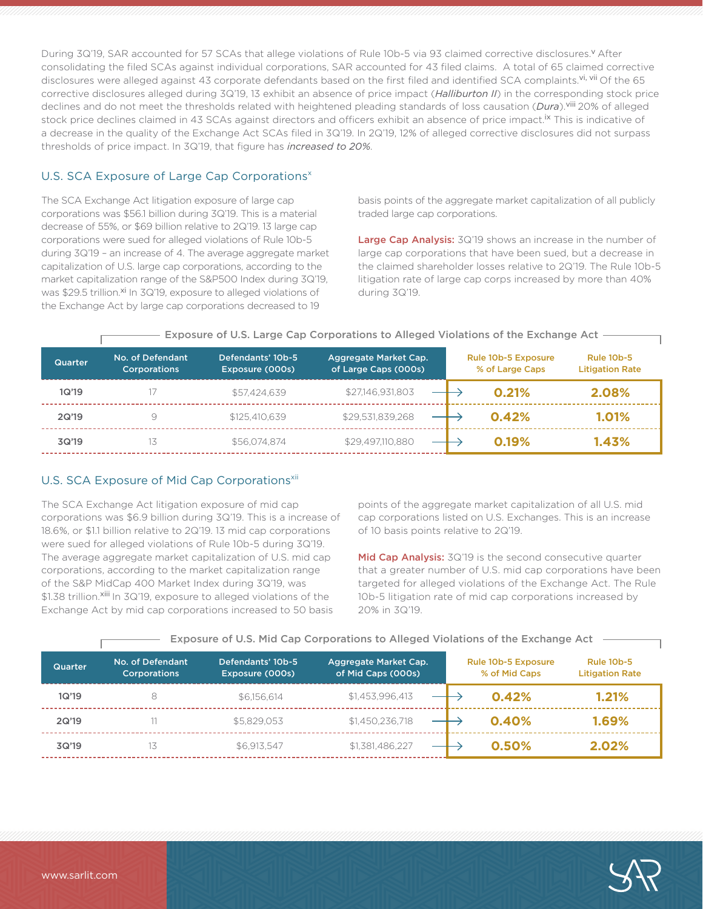During 3Q'19, SAR accounted for 57 SCAs that allege violations of Rule 10b-5 via 93 claimed corrective disclosures. YAfter consolidating the filed SCAs against individual corporations, SAR accounted for 43 filed claims. A total of 65 claimed corrective disclosures were alleged against 43 corporate defendants based on the first filed and identified SCA complaints.<sup>vi, vii</sup> Of the 65 corrective disclosures alleged during 3Q'19, 13 exhibit an absence of price impact (*Halliburton II*) in the corresponding stock price declines and do not meet the thresholds related with heightened pleading standards of loss causation (*Dura*).viii 20% of alleged stock price declines claimed in 43 SCAs against directors and officers exhibit an absence of price impact.<sup>ix</sup> This is indicative of a decrease in the quality of the Exchange Act SCAs filed in 3Q'19. In 2Q'19, 12% of alleged corrective disclosures did not surpass thresholds of price impact. In 3Q'19, that figure has *increased to 20%*.

### U.S. SCA Exposure of Large Cap Corporations<sup>x</sup>

The SCA Exchange Act litigation exposure of large cap corporations was \$56.1 billion during 3Q'19. This is a material decrease of 55%, or \$69 billion relative to 2Q'19. 13 large cap corporations were sued for alleged violations of Rule 10b-5 during 3Q'19 – an increase of 4. The average aggregate market capitalization of U.S. large cap corporations, according to the market capitalization range of the S&P500 Index during 3Q'19, was \$29.5 trillion.<sup>xi</sup> In 3Q'19, exposure to alleged violations of the Exchange Act by large cap corporations decreased to 19

basis points of the aggregate market capitalization of all publicly traded large cap corporations.

Large Cap Analysis: 3Q'19 shows an increase in the number of large cap corporations that have been sued, but a decrease in the claimed shareholder losses relative to 2Q'19. The Rule 10b-5 litigation rate of large cap corps increased by more than 40% during 3Q'19.

| <b>Quarter</b> | No. of Defendant<br><b>Corporations</b> | Defendants' 10b-5<br>Exposure (000s) | Aggregate Market Cap.<br>of Large Caps (000s) | <b>Rule 10b-5 Exposure</b><br>% of Large Caps | <b>Rule 10b-5</b><br><b>Litigation Rate</b> |
|----------------|-----------------------------------------|--------------------------------------|-----------------------------------------------|-----------------------------------------------|---------------------------------------------|
| 1Q'19          |                                         | \$57.424.639                         | \$27,146,931,803                              | 0.21%                                         | 2.08%                                       |
| 2Q'19          |                                         | \$125,410,639                        | \$29.531.839.268                              | 0.42%                                         | 1.01%                                       |
| 3Q'19          |                                         | \$56,074,874                         | \$29.497.110.880                              | 0.19%                                         | 1.43%                                       |

#### Exposure of U.S. Large Cap Corporations to Alleged Violations of the Exchange Act

## U.S. SCA Exposure of Mid Cap Corporations<sup>xii</sup>

The SCA Exchange Act litigation exposure of mid cap corporations was \$6.9 billion during 3Q'19. This is a increase of 18.6%, or \$1.1 billion relative to 2Q'19. 13 mid cap corporations were sued for alleged violations of Rule 10b-5 during 3Q'19. The average aggregate market capitalization of U.S. mid cap corporations, according to the market capitalization range of the S&P MidCap 400 Market Index during 3Q'19, was \$1.38 trillion.<sup>xiii</sup> In 3Q'19, exposure to alleged violations of the Exchange Act by mid cap corporations increased to 50 basis

points of the aggregate market capitalization of all U.S. mid cap corporations listed on U.S. Exchanges. This is an increase of 10 basis points relative to 2Q'19.

Mid Cap Analysis: 3Q'19 is the second consecutive quarter that a greater number of U.S. mid cap corporations have been targeted for alleged violations of the Exchange Act. The Rule 10b-5 litigation rate of mid cap corporations increased by 20% in 3Q'19.

| <b>Quarter</b> | No. of Defendant<br><b>Corporations</b> | Defendants' 10b-5<br>Exposure (000s) | Aggregate Market Cap.<br>of Mid Caps (000s) | Rule 10b-5 Exposure<br>% of Mid Caps | <b>Rule 10b-5</b><br><b>Litigation Rate</b> |
|----------------|-----------------------------------------|--------------------------------------|---------------------------------------------|--------------------------------------|---------------------------------------------|
| 1Q'19          |                                         | \$6.156.614                          | \$1,453,996,413                             | 0.42%                                | 1.21%                                       |
| 2Q'19          |                                         | \$5,829,053                          | \$1,450,236,718                             | 0.40%                                | 1.69%                                       |
| 3Q'19          |                                         | \$6.913.547                          | \$1,381,486,227                             | 0.50%                                | 2.02%                                       |

#### - Exposure of U.S. Mid Cap Corporations to Alleged Violations of the Exchange Act  $\cdot$

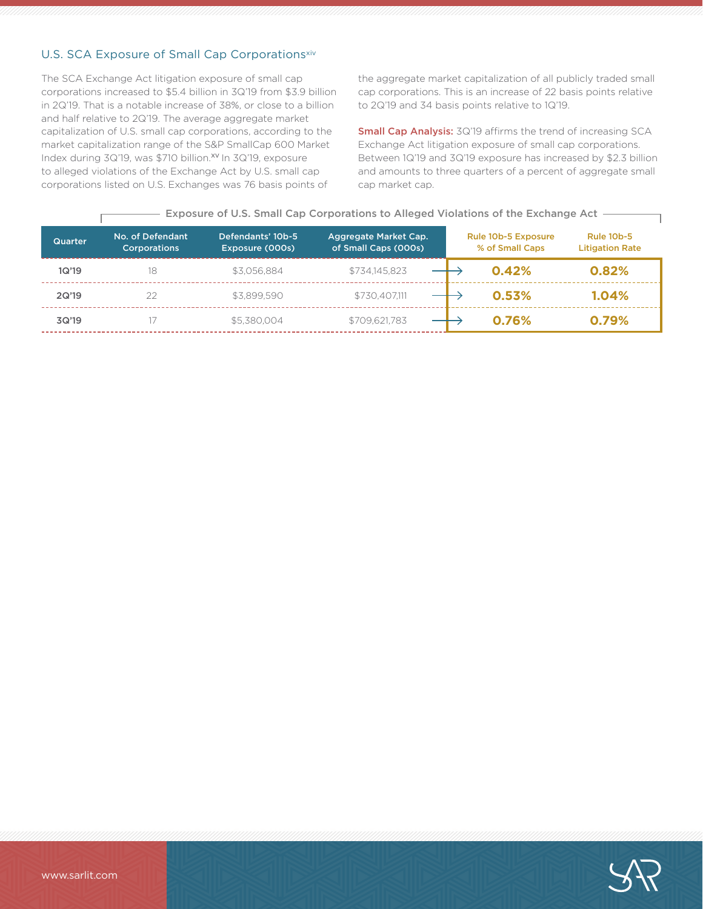## U.S. SCA Exposure of Small Cap Corporationsxiv

The SCA Exchange Act litigation exposure of small cap corporations increased to \$5.4 billion in 3Q'19 from \$3.9 billion in 2Q'19. That is a notable increase of 38%, or close to a billion and half relative to 2Q'19. The average aggregate market capitalization of U.S. small cap corporations, according to the market capitalization range of the S&P SmallCap 600 Market Index during 3Q'19, was \$710 billion.<sup>xv</sup> In 3Q'19, exposure to alleged violations of the Exchange Act by U.S. small cap corporations listed on U.S. Exchanges was 76 basis points of

the aggregate market capitalization of all publicly traded small cap corporations. This is an increase of 22 basis points relative to 2Q'19 and 34 basis points relative to 1Q'19.

Small Cap Analysis: 3Q'19 affirms the trend of increasing SCA Exchange Act litigation exposure of small cap corporations. Between 1Q'19 and 3Q'19 exposure has increased by \$2.3 billion and amounts to three quarters of a percent of aggregate small cap market cap.

| <b>Quarter</b> | No. of Defendant<br><b>Corporations</b> | Defendants' 10b-5<br>Exposure (000s) | Aggregate Market Cap.<br>of Small Caps (000s) | <b>Rule 10b-5 Exposure</b><br>% of Small Caps | <b>Rule 10b-5</b><br><b>Litigation Rate</b> |
|----------------|-----------------------------------------|--------------------------------------|-----------------------------------------------|-----------------------------------------------|---------------------------------------------|
| 1Q'19          | 18                                      | \$3.056.884                          | \$734.145.823                                 | 0.42%                                         | 0.82%                                       |
| 2Q'19          | 22                                      | \$3,899.590                          | \$730.407.111                                 | 0.53%                                         | 1.04%                                       |
| 3Q'19          |                                         | \$5,380,004                          | \$709,621,783                                 | 0.76%                                         | 0.79%                                       |

#### $-$  Exposure of U.S. Small Cap Corporations to Alleged Violations of the Exchange Act  $-$

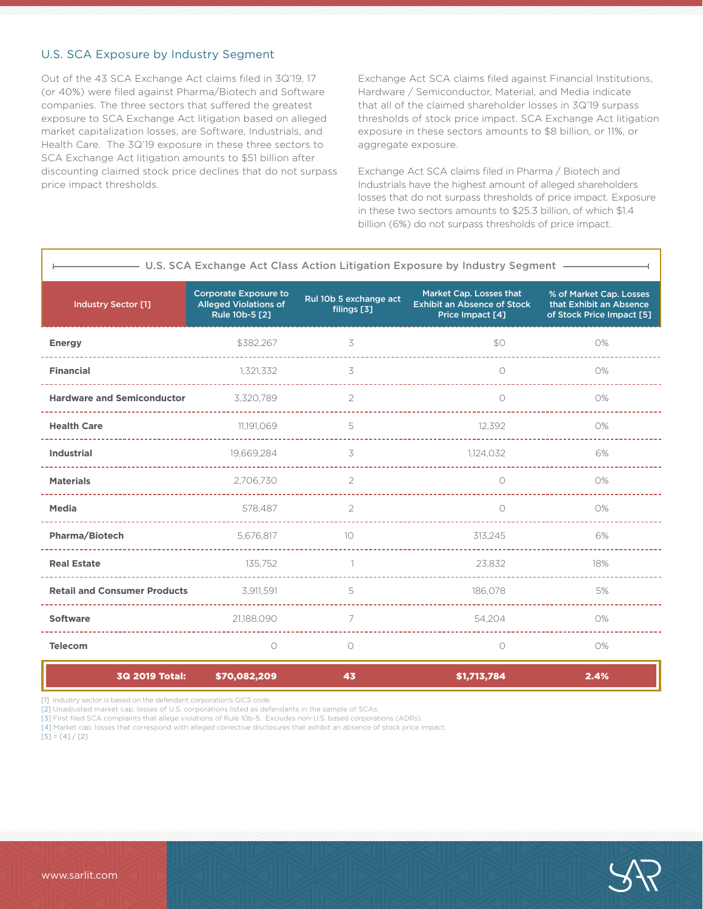#### U.S. SCA Exposure by Industry Segment

Out of the 43 SCA Exchange Act claims filed in 3Q'19, 17 (or 40%) were filed against Pharma/Biotech and Software companies. The three sectors that suffered the greatest exposure to SCA Exchange Act litigation based on alleged market capitalization losses, are Software, Industrials, and Health Care. The 3Q'19 exposure in these three sectors to SCA Exchange Act litigation amounts to \$51 billion after discounting claimed stock price declines that do not surpass price impact thresholds.

Exchange Act SCA claims filed against Financial Institutions, Hardware / Semiconductor, Material, and Media indicate that all of the claimed shareholder losses in 3Q'19 surpass thresholds of stock price impact. SCA Exchange Act litigation exposure in these sectors amounts to \$8 billion, or 11%, or aggregate exposure.

Exchange Act SCA claims filed in Pharma / Biotech and Industrials have the highest amount of alleged shareholders losses that do not surpass thresholds of price impact. Exposure in these two sectors amounts to \$25.3 billion, of which \$1.4 billion (6%) do not surpass thresholds of price impact.

| U.S. SCA Exchange Act Class Action Litigation Exposure by Industry Segment - |                                                                                |                                       |                                                                                   |                                                                                 |  |  |
|------------------------------------------------------------------------------|--------------------------------------------------------------------------------|---------------------------------------|-----------------------------------------------------------------------------------|---------------------------------------------------------------------------------|--|--|
| <b>Industry Sector [1]</b>                                                   | <b>Corporate Exposure to</b><br><b>Alleged Violations of</b><br>Rule 10b-5 [2] | Rul 10b 5 exchange act<br>filings [3] | Market Cap. Losses that<br><b>Exhibit an Absence of Stock</b><br>Price Impact [4] | % of Market Cap. Losses<br>that Exhibit an Absence<br>of Stock Price Impact [5] |  |  |
| <b>Energy</b>                                                                | \$382,267                                                                      | 3                                     | \$0                                                                               | 0%                                                                              |  |  |
| <b>Financial</b>                                                             | 1,321,332                                                                      | 3                                     | $\bigcirc$                                                                        | 0%                                                                              |  |  |
| <b>Hardware and Semiconductor</b>                                            | 3,320,789                                                                      | 2                                     | $\bigcirc$                                                                        | 0%                                                                              |  |  |
| <b>Health Care</b>                                                           | 11.191.069                                                                     | 5                                     | 12.392                                                                            | 0%                                                                              |  |  |
| <b>Industrial</b>                                                            | 19,669,284                                                                     | 3                                     | 1,124,032                                                                         | 6%                                                                              |  |  |
| <b>Materials</b>                                                             | 2,706,730                                                                      | $\mathcal{P}$                         | $\bigcirc$                                                                        | O%                                                                              |  |  |
| <b>Media</b>                                                                 | 578,487                                                                        | 2                                     | $\bigcirc$                                                                        | 0%                                                                              |  |  |
| <b>Pharma/Biotech</b>                                                        | 5.676.817                                                                      | 10                                    | 313.245                                                                           | 6%                                                                              |  |  |
| <b>Real Estate</b>                                                           | 135,752                                                                        | 1                                     | 23,832                                                                            | 18%                                                                             |  |  |
| <b>Retail and Consumer Products</b>                                          | 3.911.591                                                                      | 5                                     | 186.078                                                                           | 5%                                                                              |  |  |
| Software                                                                     | 21,188,090                                                                     | 7                                     | 54,204                                                                            | 0%                                                                              |  |  |
| <b>Telecom</b>                                                               | 0                                                                              | $\circ$                               | $\bigcirc$                                                                        | 0%                                                                              |  |  |
|                                                                              |                                                                                |                                       |                                                                                   |                                                                                 |  |  |

3Q 2019 Total: \$70,082,209 \$1,713,784 43 2.4%

[1] Industry sector is based on the defendant corporation's GICS code.

[2] Unadjusted market cap. losses of U.S. corporations listed as defendants in the sample of SCAs.

[3] First filed SCA complaints that allege violations of Rule 10b-5. Excludes non-U.S. based corporations (ADRs).

[4] Market cap. losses that correspond with alleged corrective disclosures that exhibit an absence of stock price impact.

 $[5] = [4]/[2]$